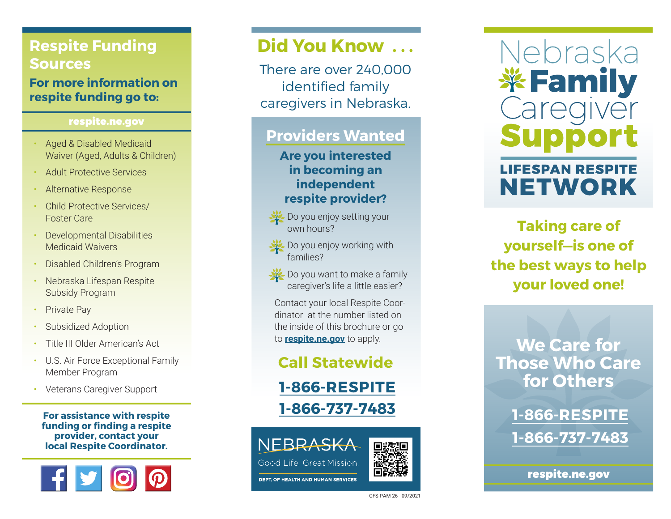## **Respite Funding Sources**

**For more information on respite funding go to:** 

#### respite.ne.gov

- Aged & Disabled Medicaid Waiver (Aged, Adults & Children)
- Adult Protective Services
- Alternative Response
- Child Protective Services/ Foster Care
- Developmental Disabilities Medicaid Waivers
- Disabled Children's Program
- Nebraska Lifespan Respite Subsidy Program
- **Private Pay**
- Subsidized Adoption
- Title III Older American's Act
- U.S. Air Force Exceptional Family Member Program
- Veterans Caregiver Support

**For assistance with respite funding or finding a respite provider, contact your local Respite Coordinator.**



# **Did You Know . . .**

There are over 240,000 identified family caregivers in Nebraska.

## **Providers Wanted**

**Are you interested in becoming an independent respite provider?**

• Do you enjoy setting your own hours?

- Do you enjoy working with families?
- Do you want to make a family caregiver's life a little easier?

Contact your local Respite Coordinator at the number listed on the inside of this brochure or go to **respite.ne.gov** to apply.

## **Call Statewide**

**1-866-RESPITE 1-866-737-7483**

Good Life, Great Mission,

**DEPT. OF HEALTH AND HUMAN SERVICES** 



Nebraska *\**Family **LIFESPAN RESPITE NETWORK** 

**Taking care of yourself—is one of the best ways to help your loved one!**

**We Care for Those Who Care for Others** 

> **1-866-RESPITE 1-866-737-7483**

> > respite.ne.gov